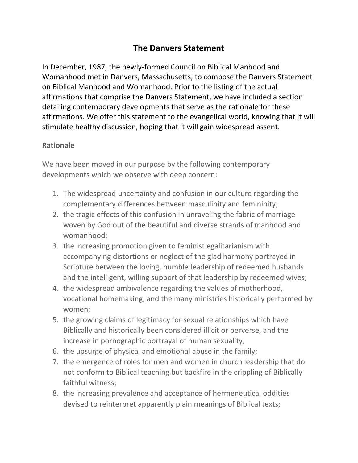## **The Danvers Statement**

In December, 1987, the newly‐formed Council on Biblical Manhood and Womanhood met in Danvers, Massachusetts, to compose the Danvers Statement on Biblical Manhood and Womanhood. Prior to the listing of the actual affirmations that comprise the Danvers Statement, we have included a section detailing contemporary developments that serve as the rationale for these affirmations. We offer this statement to the evangelical world, knowing that it will stimulate healthy discussion, hoping that it will gain widespread assent.

## **Rationale**

We have been moved in our purpose by the following contemporary developments which we observe with deep concern:

- 1. The widespread uncertainty and confusion in our culture regarding the complementary differences between masculinity and femininity;
- 2. the tragic effects of this confusion in unraveling the fabric of marriage woven by God out of the beautiful and diverse strands of manhood and womanhood;
- 3. the increasing promotion given to feminist egalitarianism with accompanying distortions or neglect of the glad harmony portrayed in Scripture between the loving, humble leadership of redeemed husbands and the intelligent, willing support of that leadership by redeemed wives;
- 4. the widespread ambivalence regarding the values of motherhood, vocational homemaking, and the many ministries historically performed by women;
- 5. the growing claims of legitimacy for sexual relationships which have Biblically and historically been considered illicit or perverse, and the increase in pornographic portrayal of human sexuality;
- 6. the upsurge of physical and emotional abuse in the family;
- 7. the emergence of roles for men and women in church leadership that do not conform to Biblical teaching but backfire in the crippling of Biblically faithful witness;
- 8. the increasing prevalence and acceptance of hermeneutical oddities devised to reinterpret apparently plain meanings of Biblical texts;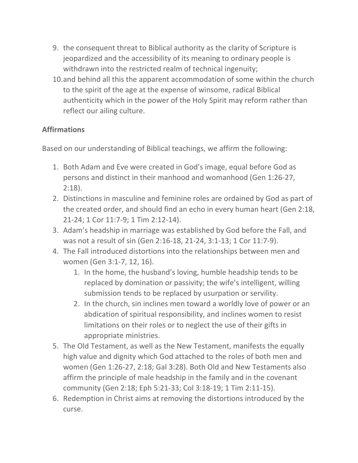- 9. the consequent threat to Biblical authority as the clarity of Scripture is jeopardized and the accessibility of its meaning to ordinary people is withdrawn into the restricted realm of technical ingenuity;
- 10.and behind all this the apparent accommodation of some within the church to the spirit of the age at the expense of winsome, radical Biblical authenticity which in the power of the Holy Spirit may reform rather than reflect our ailing culture.

## **Affirmations**

Based on our understanding of Biblical teachings, we affirm the following:

- 1. Both Adam and Eve were created in God's image, equal before God as persons and distinct in their manhood and womanhood (Gen 1:26‐27, 2:18).
- 2. Distinctions in masculine and feminine roles are ordained by God as part of the created order, and should find an echo in every human heart (Gen 2:18, 21‐24; 1 Cor 11:7‐9; 1 Tim 2:12‐14).
- 3. Adam's headship in marriage was established by God before the Fall, and was not a result of sin (Gen 2:16‐18, 21‐24, 3:1‐13; 1 Cor 11:7‐9).
- 4. The Fall introduced distortions into the relationships between men and women (Gen 3:1‐7, 12, 16).
	- 1. In the home, the husband's loving, humble headship tends to be replaced by domination or passivity; the wife's intelligent, willing submission tends to be replaced by usurpation or servility.
	- 2. In the church, sin inclines men toward a worldly love of power or an abdication of spiritual responsibility, and inclines women to resist limitations on their roles or to neglect the use of their gifts in appropriate ministries.
- 5. The Old Testament, as well as the New Testament, manifests the equally high value and dignity which God attached to the roles of both men and women (Gen 1:26‐27, 2:18; Gal 3:28). Both Old and New Testaments also affirm the principle of male headship in the family and in the covenant community (Gen 2:18; Eph 5:21‐33; Col 3:18‐19; 1 Tim 2:11‐15).
- 6. Redemption in Christ aims at removing the distortions introduced by the curse.